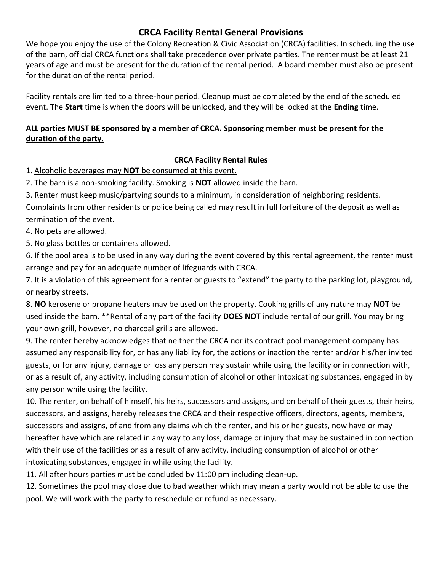## **CRCA Facility Rental General Provisions**

We hope you enjoy the use of the Colony Recreation & Civic Association (CRCA) facilities. In scheduling the use of the barn, official CRCA functions shall take precedence over private parties. The renter must be at least 21 years of age and must be present for the duration of the rental period. A board member must also be present for the duration of the rental period.

Facility rentals are limited to a three-hour period. Cleanup must be completed by the end of the scheduled event. The **Start** time is when the doors will be unlocked, and they will be locked at the **Ending** time.

## **ALL parties MUST BE sponsored by a member of CRCA. Sponsoring member must be present for the duration of the party.**

## **CRCA Facility Rental Rules**

1. Alcoholic beverages may **NOT** be consumed at this event.

2. The barn is a non-smoking facility. Smoking is **NOT** allowed inside the barn.

3. Renter must keep music/partying sounds to a minimum, in consideration of neighboring residents.

Complaints from other residents or police being called may result in full forfeiture of the deposit as well as termination of the event.

4. No pets are allowed.

5. No glass bottles or containers allowed.

6. If the pool area is to be used in any way during the event covered by this rental agreement, the renter must arrange and pay for an adequate number of lifeguards with CRCA.

7. It is a violation of this agreement for a renter or guests to "extend" the party to the parking lot, playground, or nearby streets.

8. **NO** kerosene or propane heaters may be used on the property. Cooking grills of any nature may **NOT** be used inside the barn. \*\*Rental of any part of the facility **DOES NOT** include rental of our grill. You may bring your own grill, however, no charcoal grills are allowed.

9. The renter hereby acknowledges that neither the CRCA nor its contract pool management company has assumed any responsibility for, or has any liability for, the actions or inaction the renter and/or his/her invited guests, or for any injury, damage or loss any person may sustain while using the facility or in connection with, or as a result of, any activity, including consumption of alcohol or other intoxicating substances, engaged in by any person while using the facility.

10. The renter, on behalf of himself, his heirs, successors and assigns, and on behalf of their guests, their heirs, successors, and assigns, hereby releases the CRCA and their respective officers, directors, agents, members, successors and assigns, of and from any claims which the renter, and his or her guests, now have or may hereafter have which are related in any way to any loss, damage or injury that may be sustained in connection with their use of the facilities or as a result of any activity, including consumption of alcohol or other intoxicating substances, engaged in while using the facility.

11. All after hours parties must be concluded by 11:00 pm including clean-up.

12. Sometimes the pool may close due to bad weather which may mean a party would not be able to use the pool. We will work with the party to reschedule or refund as necessary.